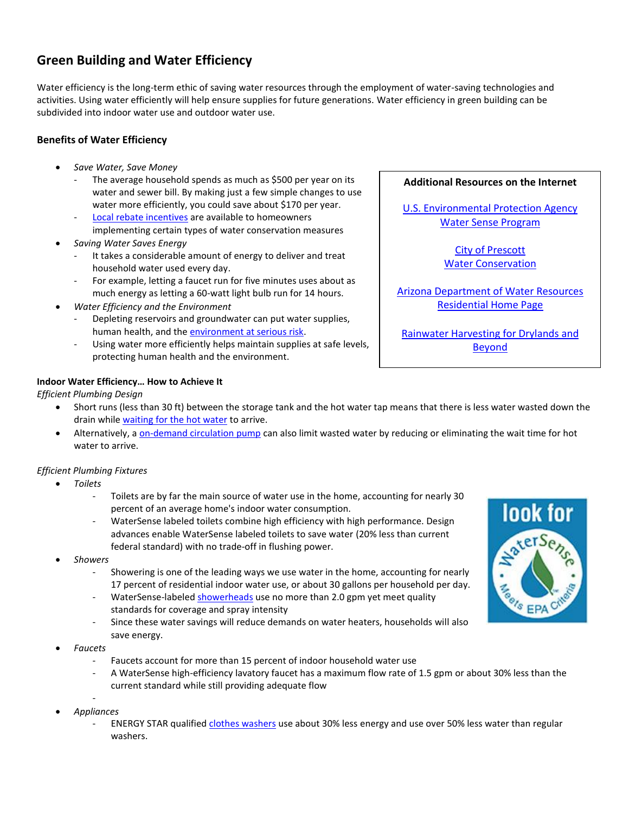# **Green Building and Water Efficiency**

Water efficiency is the long-term ethic of saving water resources through the employment of water-saving technologies and activities. Using water efficiently will help ensure supplies for future generations. Water efficiency in green building can be subdivided into indoor water use and outdoor water use.

## **Benefits of Water Efficiency**

- *Save Water, Save Money*
	- The average household spends as much as \$500 per year on its water and sewer bill. By making just a few simple changes to use water more efficiently, you could save about \$170 per year.
	- [Local rebate incentives](http://www.cityofprescott.net/services/water/conservation.php) are available to homeowners implementing certain types of water conservation measures
- *Saving Water Saves Energy*
	- It takes a considerable amount of energy to deliver and treat household water used every day.
	- For example, letting a faucet run for five minutes uses about as much energy as letting a 60-watt light bulb run for 14 hours.
- *Water Efficiency and the Environment*
	- Depleting reservoirs and groundwater can put water supplies, human health, and the [environment at serious risk.](http://www.epa.gov/WaterSense/water_efficiency/environmental_benefits.html)
	- Using water more efficiently helps maintain supplies at safe levels, protecting human health and the environment.

## **Indoor Water Efficiency… How to Achieve It**

## *Efficient Plumbing Design*

- Short runs (less than 30 ft) between the storage tank and the hot water tap means that there is less water wasted down the drain whil[e waiting for the hot water](http://www.greenbuildingadvisor.com/blogs/dept/energy-solutions/waiting-hot-water) to arrive.
- Alternatively, [a on-demand circulation](http://www.toolbase.org/TechInventory/TechDetails.aspx?ContentDetailID=864) pump can also limit wasted water by reducing or eliminating the wait time for hot water to arrive.

## *Efficient Plumbing Fixtures*

- *Toilets*
	- Toilets are by far the main source of water use in the home, accounting for nearly 30 percent of an average home's indoor water consumption.
	- WaterSense labeled toilets combine high efficiency with high performance. Design advances enable WaterSense labeled toilets to save water (20% less than current federal standard) with no trade-off in flushing power.
- *Showers*
	- Showering is one of the leading ways we use water in the home, accounting for nearly 17 percent of residential indoor water use, or about 30 gallons per household per day.
	- WaterSense-labele[d showerheads](http://www.greenbuildingadvisor.com/product-guide/cat/residential-showerheads) use no more than 2.0 gpm yet meet quality standards for coverage and spray intensity
	- Since these water savings will reduce demands on water heaters, households will also save energy.
- *Faucets*
	- Faucets account for more than 15 percent of indoor household water use
	- A WaterSense high-efficiency lavatory faucet has a maximum flow rate of 1.5 gpm or about 30% less than the current standard while still providing adequate flow
- *Appliances*
	- ENERGY STAR qualified [clothes washers](http://www.energystar.gov/index.cfm?fuseaction=find_a_product.showProductGroup&pgw_code=CW) use about 30% less energy and use over 50% less water than regular washers.

#### **Additional Resources on the Internet**

[U.S. Environmental Protection Agency](http://www.epa.gov/WaterSense/) [Water Sense Program](http://www.epa.gov/WaterSense/)

> [City of Prescott](http://www.cityofprescott.net/services/water/conservation.php) [Water Conservation](http://www.cityofprescott.net/services/water/conservation.php)

[Arizona Department of Water Resources](http://www.azwater.gov/AzDWR/StatewidePlanning/Conservation2/Residential/Residential_Home2.htm) [Residential Home Page](http://www.azwater.gov/AzDWR/StatewidePlanning/Conservation2/Residential/Residential_Home2.htm)

[Rainwater Harvesting for Drylands and](http://www.harvestingrainwater.com/)  [Beyond](http://www.harvestingrainwater.com/)